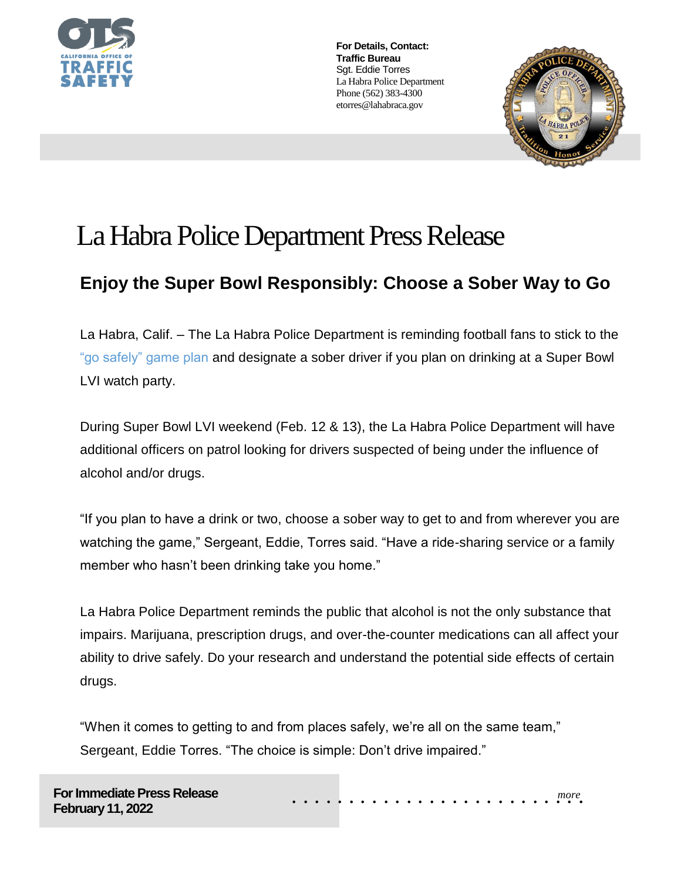

**For Details, Contact: Traffic Bureau** Sgt. Eddie Torres La Habra Police Department Phone (562) 383-4300 etorres@lahabraca.gov



## La Habra Police Department Press Release

## **Enjoy the Super Bowl Responsibly: Choose a Sober Way to Go**

La Habra, Calif. – The La Habra Police Department is reminding football fans to stick to the "go safely" game plan and designate a sober driver if you plan on drinking at a Super Bowl LVI watch party.

During Super Bowl LVI weekend (Feb. 12 & 13), the La Habra Police Department will have additional officers on patrol looking for drivers suspected of being under the influence of alcohol and/or drugs.

"If you plan to have a drink or two, choose a sober way to get to and from wherever you are watching the game," Sergeant, Eddie, Torres said. "Have a ride-sharing service or a family member who hasn't been drinking take you home."

La Habra Police Department reminds the public that alcohol is not the only substance that impairs. Marijuana, prescription drugs, and over-the-counter medications can all affect your ability to drive safely. Do your research and understand the potential side effects of certain drugs.

"When it comes to getting to and from places safely, we're all on the same team," Sergeant, Eddie Torres. "The choice is simple: Don't drive impaired."

*more* . . . . . . . . . . . . . . . . . . . . . . . . . .